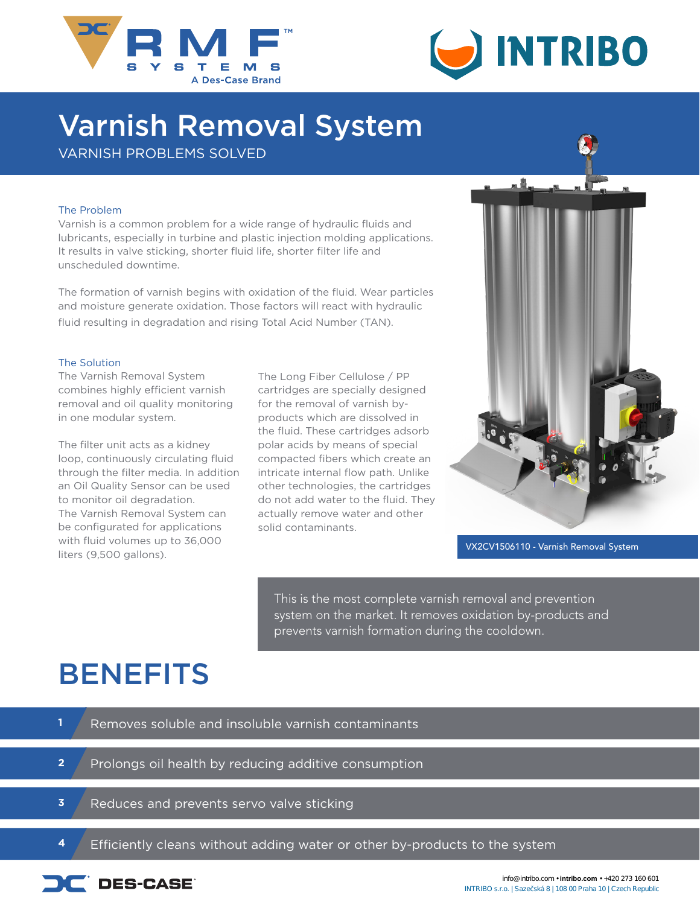



# Varnish Removal System

VARNISH PROBLEMS SOLVED

#### The Problem

Varnish is a common problem for a wide range of hydraulic fluids and lubricants, especially in turbine and plastic injection molding applications. It results in valve sticking, shorter fluid life, shorter filter life and unscheduled downtime.

The formation of varnish begins with oxidation of the fluid. Wear particles and moisture generate oxidation. Those factors will react with hydraulic fluid resulting in degradation and rising Total Acid Number (TAN).

#### The Solution

The Varnish Removal System combines highly efficient varnish removal and oil quality monitoring in one modular system.

The filter unit acts as a kidney loop, continuously circulating fluid through the filter media. In addition an Oil Quality Sensor can be used to monitor oil degradation. The Varnish Removal System can be configurated for applications with fluid volumes up to 36,000 liters (9,500 gallons).

The Long Fiber Cellulose / PP cartridges are specially designed for the removal of varnish byproducts which are dissolved in the fluid. These cartridges adsorb polar acids by means of special compacted fibers which create an intricate internal flow path. Unlike other technologies, the cartridges do not add water to the fluid. They actually remove water and other solid contaminants.



VX2CV1506110 - Varnish Removal System

This is the most complete varnish removal and prevention system on the market. It removes oxidation by-products and prevents varnish formation during the cooldown.

### **BENEFITS**

| Removes soluble and insoluble varnish contaminants |
|----------------------------------------------------|
|                                                    |
|                                                    |

**2** Prolongs oil health by reducing additive consumption

- 
- **3** Reduces and prevents servo valve sticking

**4** Efficiently cleans without adding water or other by-products to the system